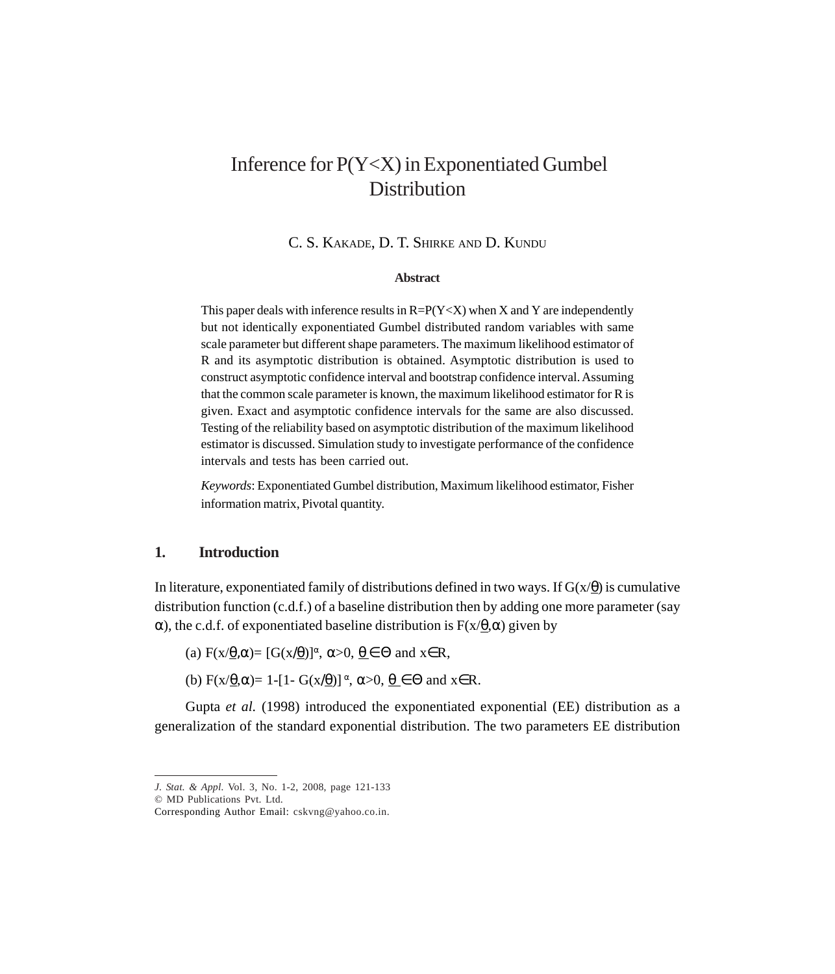# Inference for P(Y<X) in Exponentiated Gumbel **Distribution**

C. S. KAKADE, D. T. SHIRKE AND D. KUNDU

#### **Abstract**

This paper deals with inference results in  $R = P(Y \leq X)$  when X and Y are independently but not identically exponentiated Gumbel distributed random variables with same scale parameter but different shape parameters. The maximum likelihood estimator of R and its asymptotic distribution is obtained. Asymptotic distribution is used to construct asymptotic confidence interval and bootstrap confidence interval. Assuming that the common scale parameter is known, the maximum likelihood estimator for R is given. Exact and asymptotic confidence intervals for the same are also discussed. Testing of the reliability based on asymptotic distribution of the maximum likelihood estimator is discussed. Simulation study to investigate performance of the confidence intervals and tests has been carried out.

*Keywords*: Exponentiated Gumbel distribution, Maximum likelihood estimator, Fisher information matrix, Pivotal quantity.

### **1. Introduction**

In literature, exponentiated family of distributions defined in two ways. If  $G(x/\theta)$  is cumulative distribution function (c.d.f.) of a baseline distribution then by adding one more parameter (say α), the c.d.f. of exponentiated baseline distribution is  $F(x/\theta, α)$  given by

(a)  $F(x/\underline{\theta}, \alpha) = [G(x/\underline{\theta})]^{\alpha}, \alpha > 0, \underline{\theta} \in \Theta$  and  $x \in R$ ,

(b)  $F(x/\underline{\theta}, \alpha) = 1 - [1 - G(x/\underline{\theta})]^{\alpha}, \alpha > 0, \theta \in \Theta$  and  $x \in R$ .

Gupta *et al.* (1998) introduced the exponentiated exponential (EE) distribution as a generalization of the standard exponential distribution. The two parameters EE distribution

*J. Stat. & Appl.* Vol. 3, No. 1-2, 2008, page 121-133

<sup>©</sup> MD Publications Pvt. Ltd.

Corresponding Author Email: cskvng@yahoo.co.in.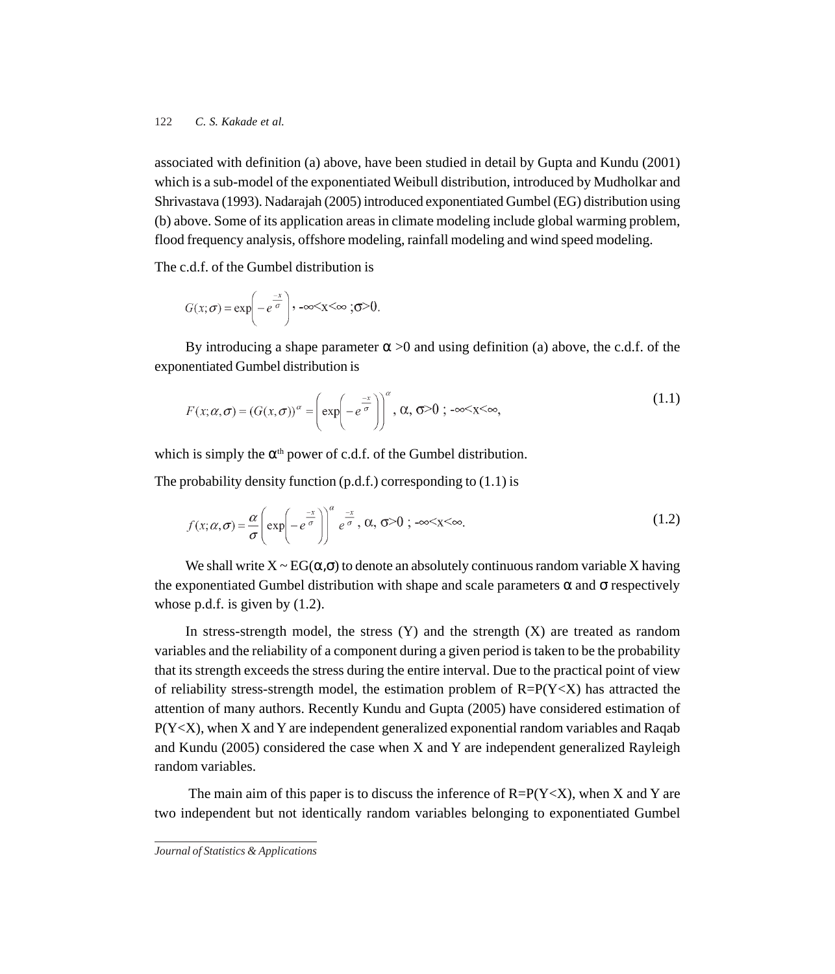associated with definition (a) above, have been studied in detail by Gupta and Kundu (2001) which is a sub-model of the exponentiated Weibull distribution, introduced by Mudholkar and Shrivastava (1993). Nadarajah (2005) introduced exponentiated Gumbel (EG) distribution using (b) above. Some of its application areas in climate modeling include global warming problem, flood frequency analysis, offshore modeling, rainfall modeling and wind speed modeling.

The c.d.f. of the Gumbel distribution is

$$
G(x; \sigma) = \exp\left(-e^{\frac{-x}{\sigma}}\right), -\infty < x < \infty; \sigma > 0
$$

By introducing a shape parameter  $\alpha > 0$  and using definition (a) above, the c.d.f. of the exponentiated Gumbel distribution is

$$
F(x; \alpha, \sigma) = (G(x, \sigma))^{\alpha} = \left(\exp\left(-e^{\frac{-x}{\sigma}}\right)\right)^{\alpha}, \alpha, \sigma > 0; -\infty < x < \infty,
$$
\n(1.1)

which is simply the  $\alpha^{th}$  power of c.d.f. of the Gumbel distribution.

The probability density function  $(p.d.f.)$  corresponding to  $(1.1)$  is

$$
f(x; \alpha, \sigma) = \frac{\alpha}{\sigma} \left( \exp\left(-e^{\frac{-x}{\sigma}}\right) \right)^{\alpha} e^{\frac{-x}{\sigma}}, \alpha, \sigma > 0 \; ; \; -\infty < x < \infty.
$$

We shall write  $X \sim EG(\alpha, \sigma)$  to denote an absolutely continuous random variable X having the exponentiated Gumbel distribution with shape and scale parameters  $\alpha$  and  $\sigma$  respectively whose p.d.f. is given by  $(1.2)$ .

In stress-strength model, the stress  $(Y)$  and the strength  $(X)$  are treated as random variables and the reliability of a component during a given period is taken to be the probability that its strength exceeds the stress during the entire interval. Due to the practical point of view of reliability stress-strength model, the estimation problem of  $R=P(Y\ll X)$  has attracted the attention of many authors. Recently Kundu and Gupta (2005) have considered estimation of  $P(Y < X)$ , when X and Y are independent generalized exponential random variables and Raqab and Kundu (2005) considered the case when X and Y are independent generalized Rayleigh random variables.

The main aim of this paper is to discuss the inference of  $R=P(Y< X)$ , when X and Y are two independent but not identically random variables belonging to exponentiated Gumbel

*Journal of Statistics & Applications*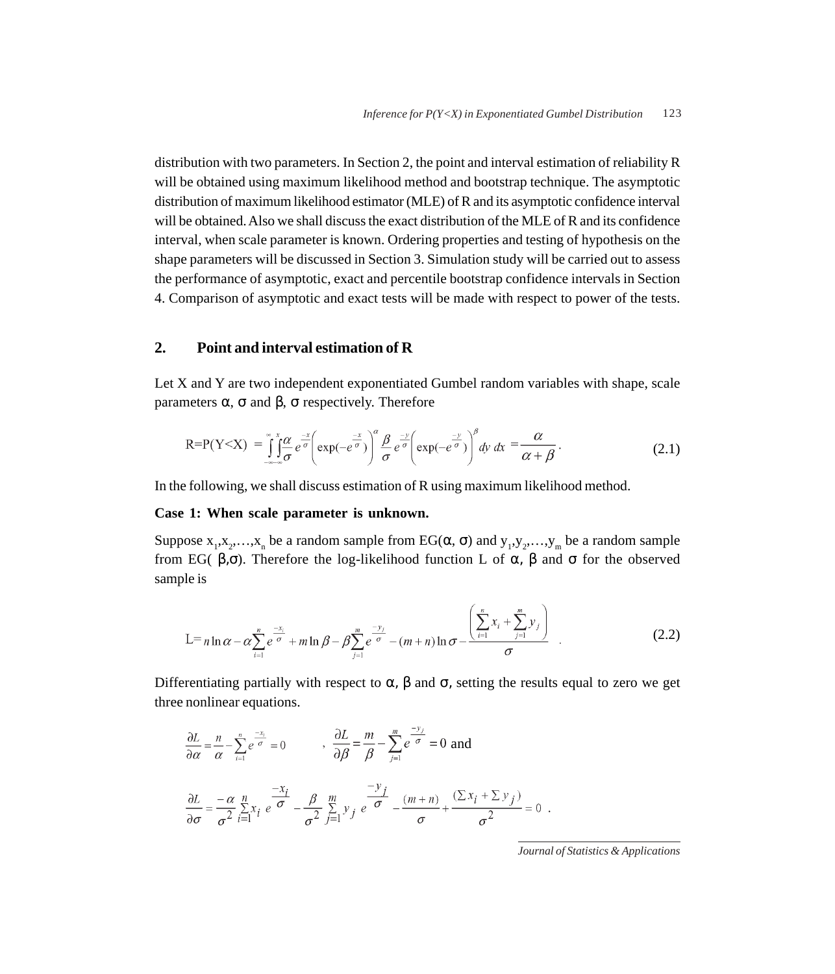distribution with two parameters. In Section 2, the point and interval estimation of reliability R will be obtained using maximum likelihood method and bootstrap technique. The asymptotic distribution of maximum likelihood estimator (MLE) of R and its asymptotic confidence interval will be obtained. Also we shall discuss the exact distribution of the MLE of R and its confidence interval, when scale parameter is known. Ordering properties and testing of hypothesis on the shape parameters will be discussed in Section 3. Simulation study will be carried out to assess the performance of asymptotic, exact and percentile bootstrap confidence intervals in Section 4. Comparison of asymptotic and exact tests will be made with respect to power of the tests.

# **2. Point and interval estimation of R**

Let X and Y are two independent exponentiated Gumbel random variables with shape, scale parameters α, σ and β, σ respectively. Therefore

$$
R = P(Y < X) = \int_{-\infty}^{\infty} \int_{0}^{x} \frac{\omega}{\sigma} e^{-\frac{x}{\sigma}} \left( \exp(-e^{\frac{-x}{\sigma}}) \right)^{\alpha} \frac{\beta}{\sigma} e^{-\frac{-y}{\sigma}} \left( \exp(-e^{\frac{-y}{\sigma}}) \right)^{\beta} dy dx = \frac{\alpha}{\alpha + \beta}.
$$
 (2.1)

In the following, we shall discuss estimation of R using maximum likelihood method.

## **Case 1: When scale parameter is unknown.**

Suppose  $x_1, x_2, ..., x_n$  be a random sample from EG( $\alpha$ ,  $\sigma$ ) and  $y_1, y_2, ..., y_m$  be a random sample from EG( β,σ). Therefore the log-likelihood function L of α, β and σ for the observed sample is

$$
L = n \ln \alpha - \alpha \sum_{i=1}^{n} e^{\frac{-x_i}{\sigma}} + m \ln \beta - \beta \sum_{j=1}^{m} e^{\frac{-y_j}{\sigma}} - (m+n) \ln \sigma - \frac{\left(\sum_{i=1}^{n} x_i + \sum_{j=1}^{m} y_j\right)}{\sigma} \quad .
$$
 (2.2)

Differentiating partially with respect to  $\alpha$ ,  $\beta$  and  $\sigma$ , setting the results equal to zero we get three nonlinear equations.

$$
\frac{\partial L}{\partial \alpha} = \frac{n}{\alpha} - \sum_{i=1}^{n} e^{\frac{-x_i}{\sigma}} = 0 \qquad , \frac{\partial L}{\partial \beta} = \frac{m}{\beta} - \sum_{j=1}^{m} e^{\frac{-y_j}{\sigma}} = 0 \text{ and}
$$

$$
\frac{\partial L}{\partial \sigma} = \frac{-\alpha}{\sigma^2} \sum_{i=1}^{n} x_i e^{\frac{-x_i}{\sigma}} - \frac{\beta}{\sigma^2} \sum_{j=1}^{m} y_j e^{\frac{-y_j}{\sigma}} - \frac{(m+n)}{\sigma} + \frac{(\sum x_i + \sum y_j)}{\sigma^2} = 0.
$$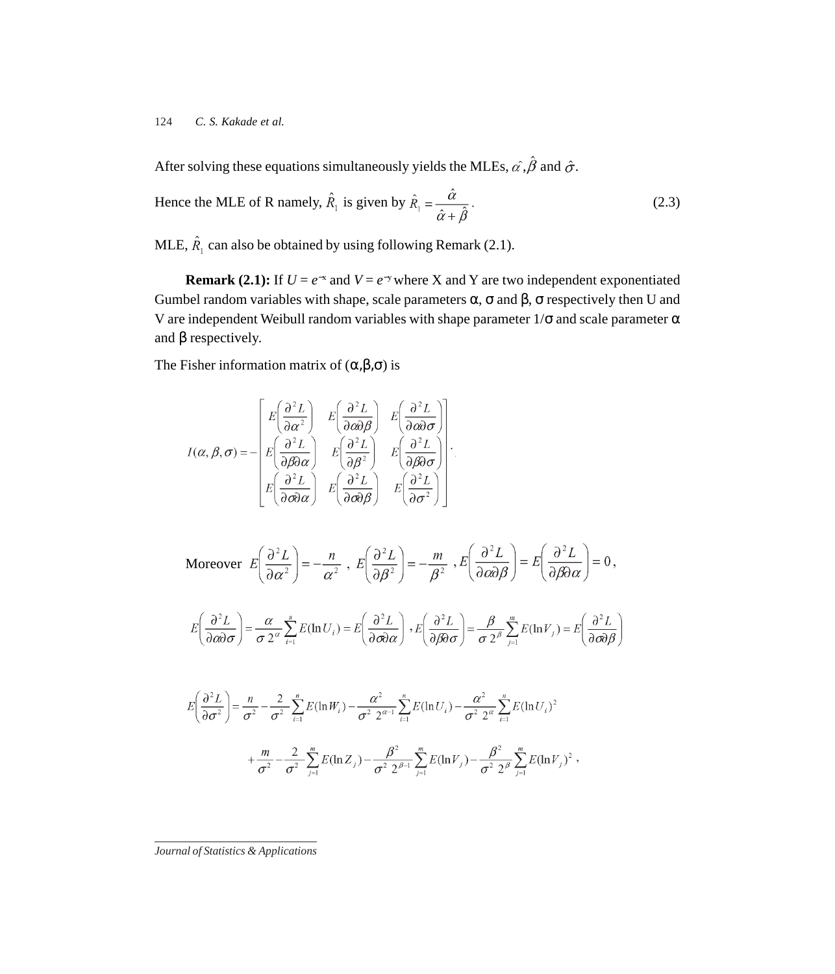After solving these equations simultaneously yields the MLEs,  $\hat{\alpha}$ ,  $\hat{\beta}$  and  $\hat{\sigma}$ .

Hence the MLE of R namely, 
$$
\hat{R}_1
$$
 is given by  $\hat{R}_1 = \frac{\hat{\alpha}}{\hat{\alpha} + \hat{\beta}}$ . (2.3)

MLE,  $\hat{R}_1$  can also be obtained by using following Remark (2.1).

**Remark (2.1):** If  $U = e^{-x}$  and  $V = e^{-y}$  where X and Y are two independent exponentiated Gumbel random variables with shape, scale parameters  $\alpha$ ,  $\sigma$  and  $\beta$ ,  $\sigma$  respectively then U and V are independent Weibull random variables with shape parameter  $1/\sigma$  and scale parameter  $\alpha$ and  $\beta$  respectively.

The Fisher information matrix of  $(\alpha, \beta, \sigma)$  is

$$
I(\alpha, \beta, \sigma) = -\begin{bmatrix} E\left(\frac{\partial^2 L}{\partial \alpha^2}\right) & E\left(\frac{\partial^2 L}{\partial \alpha \partial \beta}\right) & E\left(\frac{\partial^2 L}{\partial \alpha \partial \sigma}\right) \\ E\left(\frac{\partial^2 L}{\partial \beta \partial \alpha}\right) & E\left(\frac{\partial^2 L}{\partial \beta^2}\right) & E\left(\frac{\partial^2 L}{\partial \beta \partial \sigma}\right) \\ E\left(\frac{\partial^2 L}{\partial \sigma \partial \alpha}\right) & E\left(\frac{\partial^2 L}{\partial \sigma \partial \beta}\right) & E\left(\frac{\partial^2 L}{\partial \sigma^2}\right) \end{bmatrix}.
$$

Moreover 
$$
E\left(\frac{\partial^2 L}{\partial \alpha^2}\right) = -\frac{n}{\alpha^2}
$$
,  $E\left(\frac{\partial^2 L}{\partial \beta^2}\right) = -\frac{m}{\beta^2}$ ,  $E\left(\frac{\partial^2 L}{\partial \alpha \partial \beta}\right) = E\left(\frac{\partial^2 L}{\partial \beta \partial \alpha}\right) = 0$ ,

$$
E\left(\frac{\partial^2 L}{\partial \omega \partial \sigma}\right) = \frac{\alpha}{\sigma 2^{\alpha}} \sum_{i=1}^n E(\ln U_i) = E\left(\frac{\partial^2 L}{\partial \sigma \partial \alpha}\right), E\left(\frac{\partial^2 L}{\partial \beta \partial \sigma}\right) = \frac{\beta}{\sigma 2^{\beta}} \sum_{j=1}^m E(\ln V_j) = E\left(\frac{\partial^2 L}{\partial \sigma \partial \beta}\right)
$$

$$
E\left(\frac{\partial^2 L}{\partial \sigma^2}\right) = \frac{n}{\sigma^2} - \frac{2}{\sigma^2} \sum_{i=1}^n E(\ln W_i) - \frac{\alpha^2}{\sigma^2} \sum_{i=1}^n E(\ln U_i) - \frac{\alpha^2}{\sigma^2} \sum_{i=1}^n E(\ln U_i)^2 + \frac{m}{\sigma^2} - \frac{2}{\sigma^2} \sum_{j=1}^m E(\ln Z_j) - \frac{\beta^2}{\sigma^2} \sum_{j=1}^m E(\ln V_j) - \frac{\beta^2}{\sigma^2} \sum_{j=1}^m E(\ln V_j)^2,
$$

*Journal of Statistics & Applications*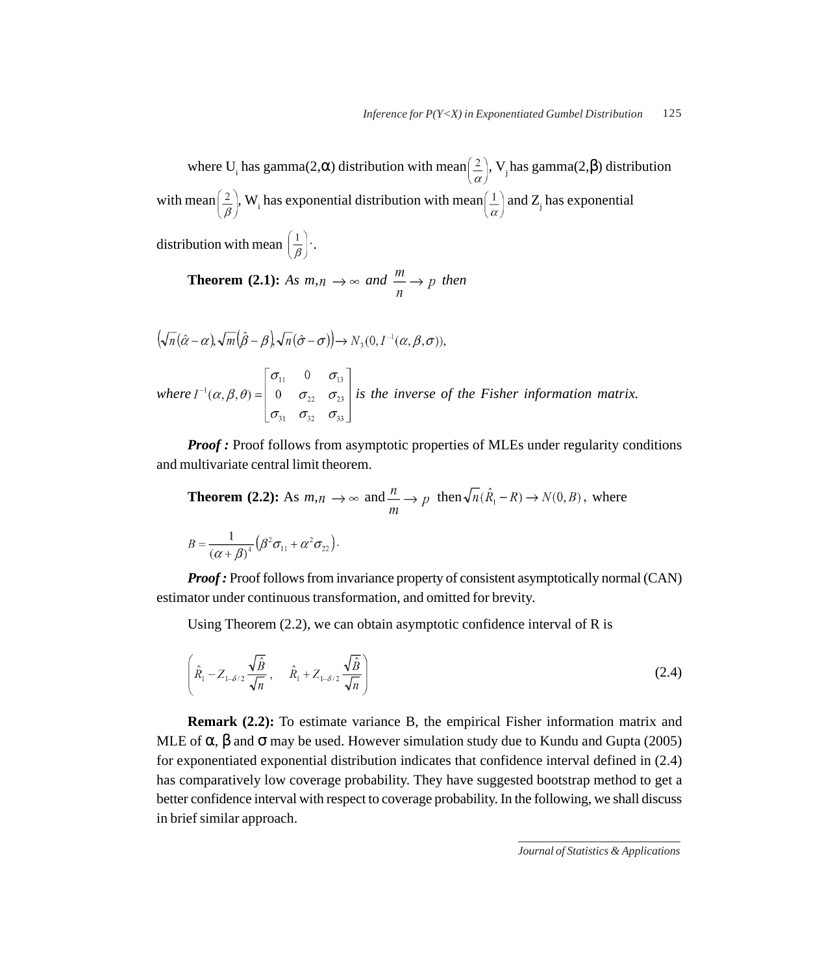where U<sub>i</sub> has gamma(2, $\alpha$ ) distribution with mean $(\frac{2}{\alpha})$ , V<sub>j</sub> has gamma(2, $\beta$ ) distribution with mean  $\left(\frac{2}{\rho}\right)$ , W<sub>i</sub> has exponential distribution with mean  $\left(\frac{1}{\alpha}\right)$  and Z<sub>j</sub> has exponential

distribution with mean  $\left(\frac{1}{\beta}\right)$ .

**Theorem (2.1):** *As*  $m, n \rightarrow \infty$  and  $\frac{m}{n} \rightarrow p$  then

$$
(\sqrt{n}(\hat{\alpha}-\alpha), \sqrt{m}(\hat{\beta}-\beta), \sqrt{n}(\hat{\sigma}-\sigma)) \rightarrow N_3(0, I^{-1}(\alpha, \beta, \sigma)),
$$
  
where  $I^{-1}(\alpha, \beta, \theta) = \begin{bmatrix} \sigma_{11} & 0 & \sigma_{13} \\ 0 & \sigma_{22} & \sigma_{23} \\ \sigma_{31} & \sigma_{32} & \sigma_{33} \end{bmatrix}$  is the inverse of the Fisher information matrix.

*Proof*: Proof follows from asymptotic properties of MLEs under regularity conditions and multivariate central limit theorem.

**Theorem (2.2):** As 
$$
m, n \to \infty
$$
 and  $\frac{n}{m} \to p$  then  $\sqrt{n}(\hat{R}_1 - R) \to N(0, B)$ , where  

$$
B = \frac{1}{(\alpha + \beta)^4} (\beta^2 \sigma_{11} + \alpha^2 \sigma_{22}).
$$

*Proof :* Proof follows from invariance property of consistent asymptotically normal (CAN) estimator under continuous transformation, and omitted for brevity.

Using Theorem (2.2), we can obtain asymptotic confidence interval of R is

$$
\left(\hat{R}_1 - Z_{1-\delta/2} \frac{\sqrt{\hat{B}}}{\sqrt{n}}, \hat{R}_1 + Z_{1-\delta/2} \frac{\sqrt{\hat{B}}}{\sqrt{n}}\right)
$$
\n(2.4)

**Remark (2.2):** To estimate variance B, the empirical Fisher information matrix and MLE of  $\alpha$ ,  $\beta$  and  $\sigma$  may be used. However simulation study due to Kundu and Gupta (2005) for exponentiated exponential distribution indicates that confidence interval defined in (2.4) has comparatively low coverage probability. They have suggested bootstrap method to get a better confidence interval with respect to coverage probability. In the following, we shall discuss in brief similar approach.

*Journal of Statistics & Applications*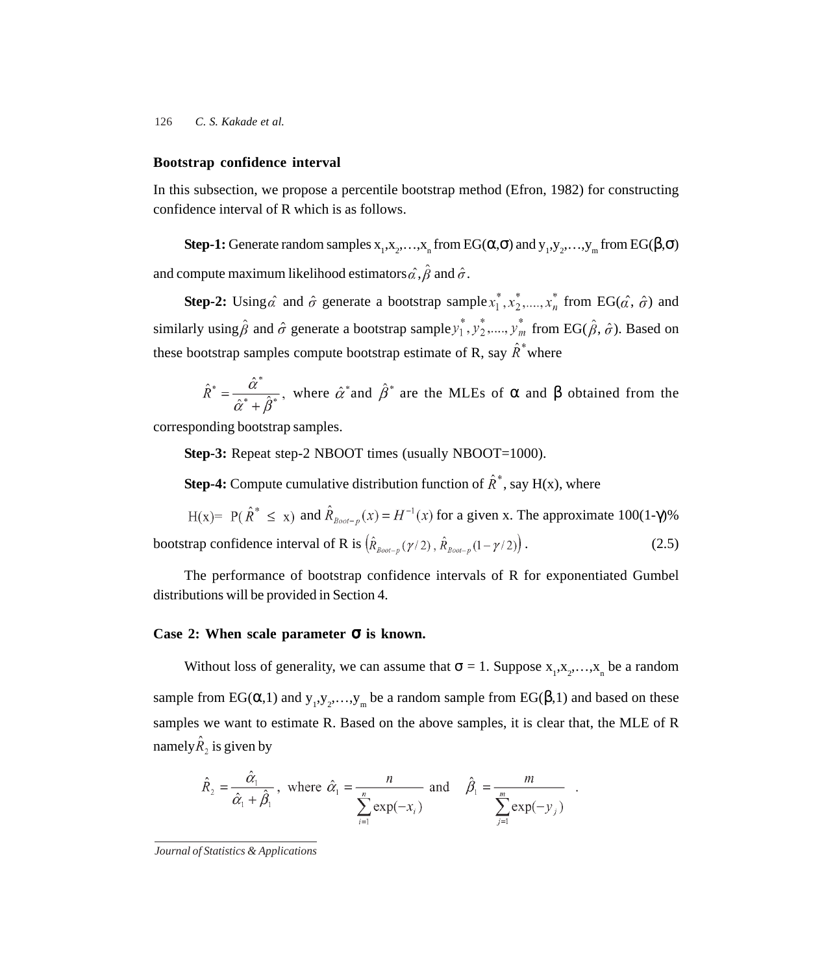#### **Bootstrap confidence interval**

In this subsection, we propose a percentile bootstrap method (Efron, 1982) for constructing confidence interval of R which is as follows.

**Step-1:** Generate random samples  $x_1, x_2, ..., x_n$  from EG( $\alpha, \sigma$ ) and  $y_1, y_2, ..., y_m$  from EG( $\beta, \sigma$ ) and compute maximum likelihood estimators  $\hat{\alpha}$ ,  $\hat{\beta}$  and  $\hat{\sigma}$ .

**Step-2:** Using  $\hat{\alpha}$  and  $\hat{\sigma}$  generate a bootstrap sample  $x_1^*, x_2^*,..., x_n^*$  from EG( $\hat{\alpha}$ ,  $\hat{\sigma}$ ) and similarly using  $\hat{\beta}$  and  $\hat{\sigma}$  generate a bootstrap sample  $y_1^*, y_2^*,..., y_m^*$  from EG( $\hat{\beta}, \hat{\sigma}$ ). Based on these bootstrap samples compute bootstrap estimate of R, say  $\hat{R}^*$  where

$$
\hat{R}^* = \frac{\hat{\alpha}^*}{\hat{\alpha}^* + \hat{\beta}^*}
$$
, where  $\hat{\alpha}^*$  and  $\hat{\beta}^*$  are the MLEs of  $\alpha$  and  $\beta$  obtained from the

corresponding bootstrap samples.

**Step-3:** Repeat step-2 NBOOT times (usually NBOOT=1000).

**Step-4:** Compute cumulative distribution function of  $\hat{R}^*$ , say H(x), where

 $H(x) = P(\hat{R}^* \le x)$  and  $\hat{R}_{\text{foot-p}}(x) = H^{-1}(x)$  for a given x. The approximate 100(1- $\gamma$ )% bootstrap confidence interval of R is  $(\hat{R}_{\text{Boot}-p}(\gamma/2), \hat{R}_{\text{Boot}-p}(1-\gamma/2))$ . (2.5)

The performance of bootstrap confidence intervals of R for exponentiated Gumbel distributions will be provided in Section 4.

#### **Case 2: When scale parameter** σ **is known.**

Without loss of generality, we can assume that  $\sigma = 1$ . Suppose  $x_1, x_2, ..., x_n$  be a random sample from EG( $\alpha$ ,1) and  $y_1, y_2, ..., y_m$  be a random sample from EG( $\beta$ ,1) and based on these samples we want to estimate R. Based on the above samples, it is clear that, the MLE of R namely $\hat{R}_2$  is given by

$$
\hat{R}_2 = \frac{\hat{\alpha}_1}{\hat{\alpha}_1 + \hat{\beta}_1}, \text{ where } \hat{\alpha}_1 = \frac{n}{\sum_{i=1}^n \exp(-x_i)} \text{ and } \hat{\beta}_1 = \frac{m}{\sum_{j=1}^m \exp(-y_j)}
$$

*Journal of Statistics & Applications*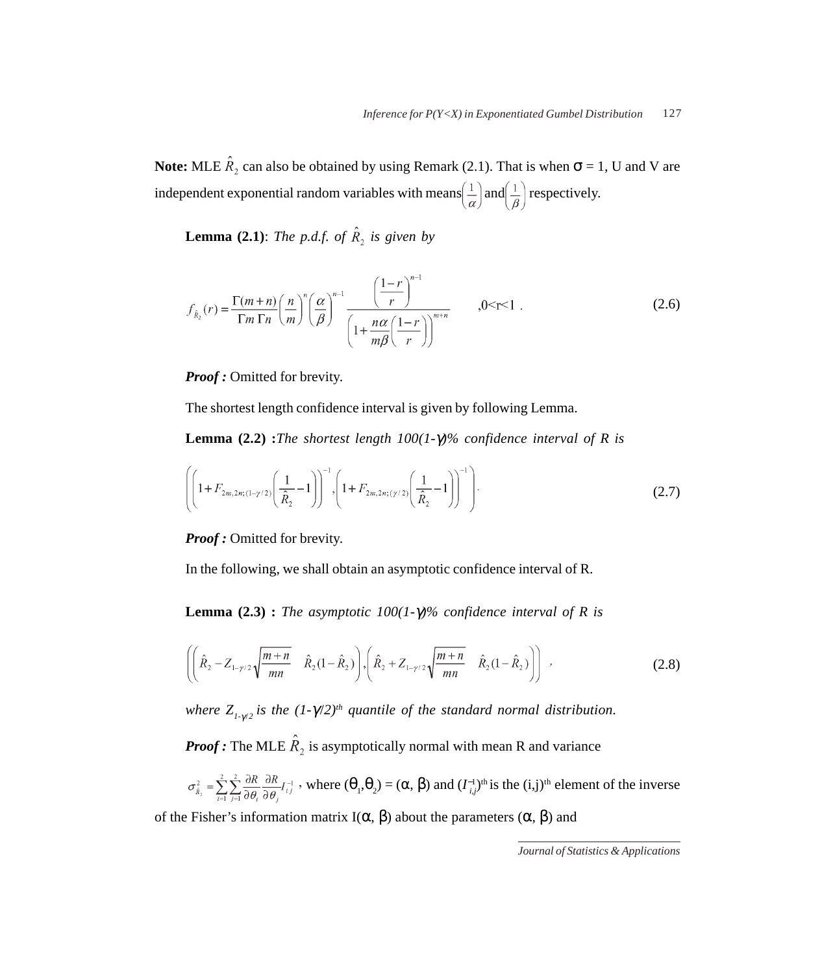**Note:** MLE  $\hat{R}_2$  can also be obtained by using Remark (2.1). That is when  $\sigma = 1$ , U and V are independent exponential random variables with means  $\left(\frac{1}{\alpha}\right)$  and  $\left(\frac{1}{\beta}\right)$  respectively.

**Lemma (2.1)**: *The p.d.f. of*  $\hat{R}_2$  *is given by* 

$$
f_{\hat{\mathbb{A}}_2}(r) = \frac{\Gamma(m+n)}{\Gamma m \Gamma n} \left(\frac{n}{m}\right)^n \left(\frac{\alpha}{\beta}\right)^{n-1} \frac{\left(\frac{1-r}{r}\right)^{n-1}}{\left(1 + \frac{n\alpha}{m\beta} \left(\frac{1-r}{r}\right)\right)^{m+n}}, 0 \le r \le 1.
$$
 (2.6)

*Proof :* Omitted for brevity.

The shortest length confidence interval is given by following Lemma.

**Lemma (2.2) :***The shortest length 100(1-*γ*)% confidence interval of R is*

$$
\left( \left( 1 + F_{2m,2m;(1-\gamma/2)} \left( \frac{1}{\hat{R}_2} - 1 \right) \right)^{-1}, \left( 1 + F_{2m,2n;( \gamma/2)} \left( \frac{1}{\hat{R}_2} - 1 \right) \right)^{-1} \right). \tag{2.7}
$$

*Proof :* Omitted for brevity.

In the following, we shall obtain an asymptotic confidence interval of R.

**Lemma (2.3) :** *The asymptotic 100(1-*γ*)% confidence interval of R is*

$$
\left( \left( \hat{R}_2 - Z_{1-\gamma/2} \sqrt{\frac{m+n}{mn}} \hat{R}_2 (1-\hat{R}_2) \right), \left( \hat{R}_2 + Z_{1-\gamma/2} \sqrt{\frac{m+n}{mn}} \hat{R}_2 (1-\hat{R}_2) \right) \right) ,
$$
 (2.8)

*where*  $Z_{1-\gamma/2}$  *is the*  $(1-\gamma/2)^{th}$  quantile of the standard normal distribution.

*Proof:* The MLE  $\hat{R}_2$  is asymptotically normal with mean R and variance

$$
\sigma_{\hat{\mathcal{R}}_2}^2 = \sum_{i=1}^2 \sum_{j=1}^2 \frac{\partial R}{\partial \theta_i} \frac{\partial R}{\partial \theta_j} I_{i,j}^{-1}
$$
, where  $(\theta_1, \theta_2) = (\alpha, \beta)$  and  $(I_{i,j}^{-1})^{\text{th}}$  is the  $(i,j)^{\text{th}}$  element of the inverse

of the Fisher's information matrix I( $\alpha$ ,  $\beta$ ) about the parameters ( $\alpha$ ,  $\beta$ ) and

*Journal of Statistics & Applications*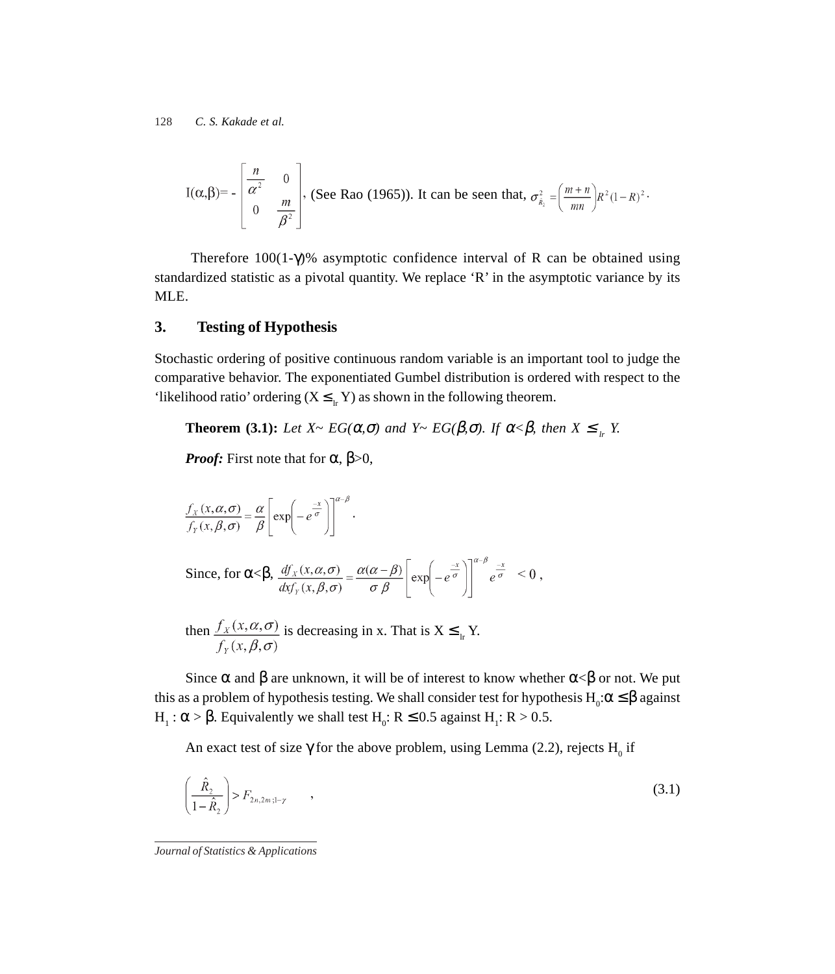$$
I(\alpha, \beta) = -\begin{bmatrix} \frac{n}{\alpha^2} & 0 \\ 0 & \frac{m}{\beta^2} \end{bmatrix}
$$
, (See Rao (1965)). It can be seen that,  $\sigma_{\hat{\mathbf{R}}_2}^2 = \left(\frac{m+n}{mn}\right) R^2 (1-R)^2$ .

Therefore  $100(1-\gamma)$ % asymptotic confidence interval of R can be obtained using standardized statistic as a pivotal quantity. We replace 'R' in the asymptotic variance by its MLE.

# **3. Testing of Hypothesis**

Stochastic ordering of positive continuous random variable is an important tool to judge the comparative behavior. The exponentiated Gumbel distribution is ordered with respect to the 'likelihood ratio' ordering  $(X \leq_{I_r} Y)$  as shown in the following theorem.

**Theorem (3.1):** *Let*  $X \sim EG(\alpha, \sigma)$  *and*  $Y \sim EG(\beta, \sigma)$ *. If*  $\alpha < \beta$ *, then*  $X \leq \alpha$ *r*  $Y$ *.* 

*Proof:* First note that for  $\alpha$ ,  $\beta > 0$ ,

$$
\frac{f_X(x, \alpha, \sigma)}{f_Y(x, \beta, \sigma)} = \frac{\alpha}{\beta} \left[ exp\left(-e^{\frac{-x}{\sigma}}\right) \right]^{\alpha-\beta}.
$$
\nSince, for  $\alpha < \beta$ ,  $\frac{df_X(x, \alpha, \sigma)}{dx f_Y(x, \beta, \sigma)} = \frac{\alpha(\alpha-\beta)}{\sigma \beta} \left[ exp\left(-e^{\frac{-x}{\sigma}}\right) \right]^{\alpha-\beta} e^{\frac{-x}{\sigma}} < 0$ ,  
\nthen  $\frac{f_X(x, \alpha, \sigma)}{dx \sigma_X(\alpha, \sigma)}$  is decreasing in x. That is  $X \leq r$ .

Since  $\alpha$  and  $\beta$  are unknown, it will be of interest to know whether  $\alpha < \beta$  or not. We put this as a problem of hypothesis testing. We shall consider test for hypothesis  $H_0:\alpha \leq \beta$  against H<sub>1</sub>:  $\alpha$  >  $\beta$ . Equivalently we shall test H<sub>0</sub>: R  $\leq$  0.5 against H<sub>1</sub>: R > 0.5.

An exact test of size  $\gamma$  for the above problem, using Lemma (2.2), rejects H<sub>0</sub> if

$$
\left(\frac{\hat{R}_2}{1-\hat{R}_2}\right) > F_{2n,2m;1-\gamma} \qquad , \tag{3.1}
$$

*Journal of Statistics & Applications*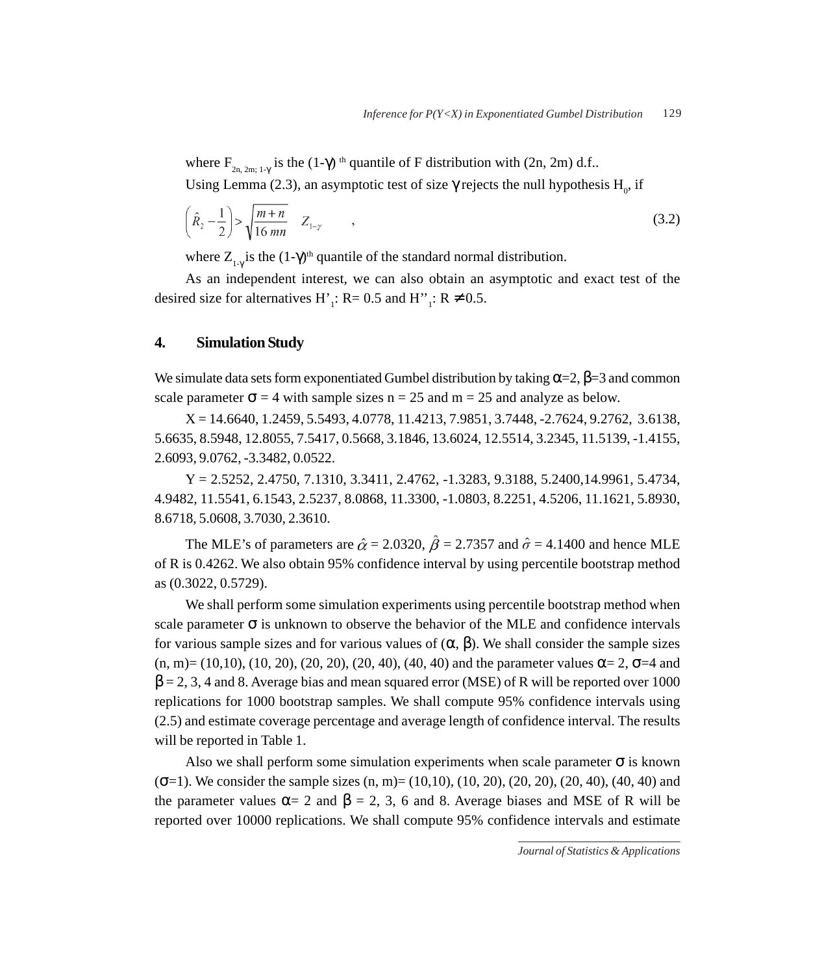where  $F_{2n, 2m; 1-\gamma}$  is the  $(1-\gamma)$ <sup>th</sup> quantile of F distribution with  $(2n, 2m)$  d.f..

Using Lemma (2.3), an asymptotic test of size  $\gamma$  rejects the null hypothesis  $H_0$ , if

$$
\left(\hat{R}_2 - \frac{1}{2}\right) > \sqrt{\frac{m+n}{16\,mn}} \quad Z_{1-\gamma} \tag{3.2}
$$

where  $Z_{1-\gamma}$  is the  $(1-\gamma)^{th}$  quantile of the standard normal distribution.

As an independent interest, we can also obtain an asymptotic and exact test of the desired size for alternatives H'<sub>1</sub>: R= 0.5 and H''<sub>1</sub>: R  $\neq$  0.5.

# **4. Simulation Study**

We simulate data sets form exponentiated Gumbel distribution by taking  $\alpha = 2$ ,  $\beta = 3$  and common scale parameter  $\sigma = 4$  with sample sizes n = 25 and m = 25 and analyze as below.

X = 14.6640, 1.2459, 5.5493, 4.0778, 11.4213, 7.9851, 3.7448, -2.7624, 9.2762, 3.6138, 5.6635, 8.5948, 12.8055, 7.5417, 0.5668, 3.1846, 13.6024, 12.5514, 3.2345, 11.5139, -1.4155, 2.6093, 9.0762, -3.3482, 0.0522.

Y = 2.5252, 2.4750, 7.1310, 3.3411, 2.4762, -1.3283, 9.3188, 5.2400,14.9961, 5.4734, 4.9482, 11.5541, 6.1543, 2.5237, 8.0868, 11.3300, -1.0803, 8.2251, 4.5206, 11.1621, 5.8930, 8.6718, 5.0608, 3.7030, 2.3610.

The MLE's of parameters are  $\hat{\alpha} = 2.0320$ ,  $\hat{\beta} = 2.7357$  and  $\hat{\sigma} = 4.1400$  and hence MLE of R is 0.4262. We also obtain 95% confidence interval by using percentile bootstrap method as (0.3022, 0.5729).

We shall perform some simulation experiments using percentile bootstrap method when scale parameter  $\sigma$  is unknown to observe the behavior of the MLE and confidence intervals for various sample sizes and for various values of (α, β). We shall consider the sample sizes  $(n, m) = (10, 10), (10, 20), (20, 20), (20, 40), (40, 40)$  and the parameter values  $\alpha = 2$ ,  $\sigma = 4$  and  $\beta$  = 2, 3, 4 and 8. Average bias and mean squared error (MSE) of R will be reported over 1000 replications for 1000 bootstrap samples. We shall compute 95% confidence intervals using (2.5) and estimate coverage percentage and average length of confidence interval. The results will be reported in Table 1.

Also we shall perform some simulation experiments when scale parameter  $\sigma$  is known  $(\sigma=1)$ . We consider the sample sizes  $(n, m) = (10, 10)$ ,  $(10, 20)$ ,  $(20, 20)$ ,  $(20, 40)$ ,  $(40, 40)$  and the parameter values  $\alpha = 2$  and  $\beta = 2, 3, 6$  and 8. Average biases and MSE of R will be reported over 10000 replications. We shall compute 95% confidence intervals and estimate

*Journal of Statistics & Applications*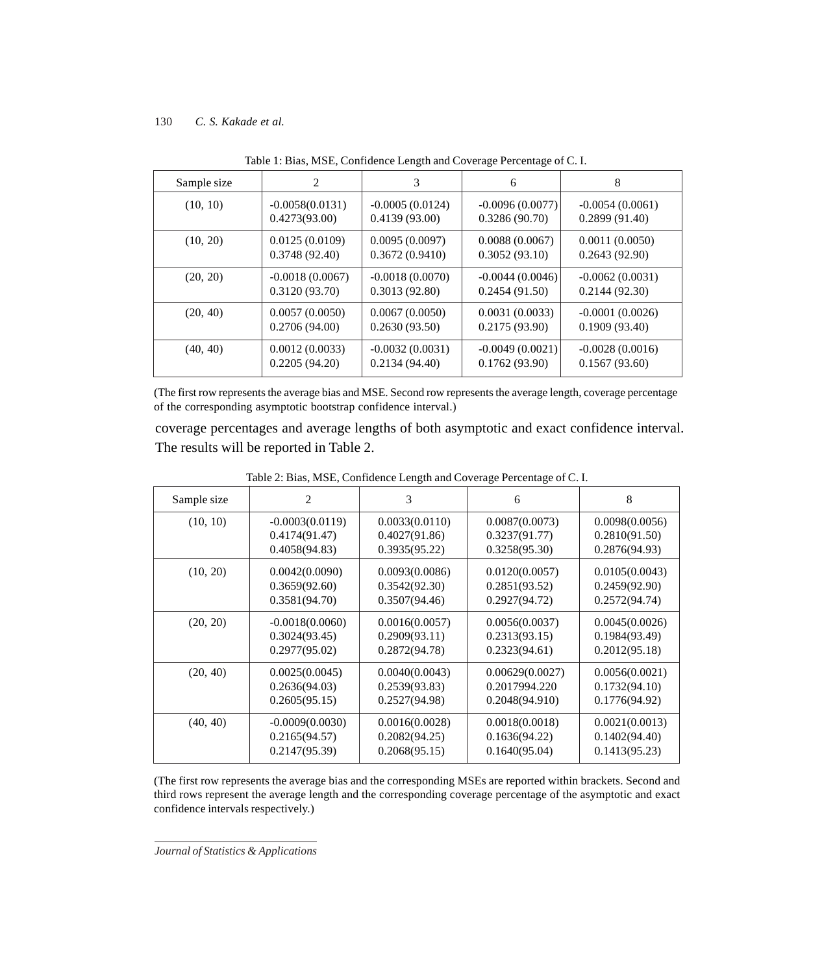| Sample size | 2                 | 3                 | 6                 | 8                 |  |
|-------------|-------------------|-------------------|-------------------|-------------------|--|
| (10, 10)    | $-0.0058(0.0131)$ | $-0.0005(0.0124)$ | $-0.0096(0.0077)$ | $-0.0054(0.0061)$ |  |
|             | 0.4273(93.00)     | 0.4139(93.00)     | 0.3286(90.70)     | 0.2899(91.40)     |  |
| (10, 20)    | 0.0125(0.0109)    | 0.0095(0.0097)    | 0.0088(0.0067)    | 0.0011(0.0050)    |  |
|             | 0.3748(92.40)     | 0.3672(0.9410)    | 0.3052(93.10)     | 0.2643(92.90)     |  |
| (20, 20)    | $-0.0018(0.0067)$ | $-0.0018(0.0070)$ | $-0.0044(0.0046)$ | $-0.0062(0.0031)$ |  |
|             | 0.3120(93.70)     | 0.3013(92.80)     | 0.2454(91.50)     | 0.2144(92.30)     |  |
| (20, 40)    | 0.0057(0.0050)    | 0.0067(0.0050)    | 0.0031(0.0033)    | $-0.0001(0.0026)$ |  |
|             | 0.2706(94.00)     | 0.2630(93.50)     | 0.2175(93.90)     | 0.1909(93.40)     |  |
| (40, 40)    | 0.0012(0.0033)    | $-0.0032(0.0031)$ | $-0.0049(0.0021)$ | $-0.0028(0.0016)$ |  |
|             | 0.2205(94.20)     | 0.2134(94.40)     | 0.1762(93.90)     | 0.1567(93.60)     |  |

Table 1: Bias, MSE, Confidence Length and Coverage Percentage of C. I.

(The first row represents the average bias and MSE. Second row represents the average length, coverage percentage of the corresponding asymptotic bootstrap confidence interval.)

coverage percentages and average lengths of both asymptotic and exact confidence interval. The results will be reported in Table 2.

| Sample size | 2                 | 3              | 6               | 8              |
|-------------|-------------------|----------------|-----------------|----------------|
| (10, 10)    | $-0.0003(0.0119)$ | 0.0033(0.0110) | 0.0087(0.0073)  | 0.0098(0.0056) |
|             | 0.4174(91.47)     | 0.4027(91.86)  | 0.3237(91.77)   | 0.2810(91.50)  |
|             | 0.4058(94.83)     | 0.3935(95.22)  | 0.3258(95.30)   | 0.2876(94.93)  |
| (10, 20)    | 0.0042(0.0090)    | 0.0093(0.0086) | 0.0120(0.0057)  | 0.0105(0.0043) |
|             | 0.3659(92.60)     | 0.3542(92.30)  | 0.2851(93.52)   | 0.2459(92.90)  |
|             | 0.3581(94.70)     | 0.3507(94.46)  | 0.2927(94.72)   | 0.2572(94.74)  |
| (20, 20)    | $-0.0018(0.0060)$ | 0.0016(0.0057) | 0.0056(0.0037)  | 0.0045(0.0026) |
|             | 0.3024(93.45)     | 0.2909(93.11)  | 0.2313(93.15)   | 0.1984(93.49)  |
|             | 0.2977(95.02)     | 0.2872(94.78)  | 0.2323(94.61)   | 0.2012(95.18)  |
| (20, 40)    | 0.0025(0.0045)    | 0.0040(0.0043) | 0.00629(0.0027) | 0.0056(0.0021) |
|             | 0.2636(94.03)     | 0.2539(93.83)  | 0.2017994.220   | 0.1732(94.10)  |
|             | 0.2605(95.15)     | 0.2527(94.98)  | 0.2048(94.910)  | 0.1776(94.92)  |
| (40, 40)    | $-0.0009(0.0030)$ | 0.0016(0.0028) | 0.0018(0.0018)  | 0.0021(0.0013) |
|             | 0.2165(94.57)     | 0.2082(94.25)  | 0.1636(94.22)   | 0.1402(94.40)  |
|             | 0.2147(95.39)     | 0.2068(95.15)  | 0.1640(95.04)   | 0.1413(95.23)  |

Table 2: Bias, MSE, Confidence Length and Coverage Percentage of C. I.

(The first row represents the average bias and the corresponding MSEs are reported within brackets. Second and third rows represent the average length and the corresponding coverage percentage of the asymptotic and exact confidence intervals respectively.)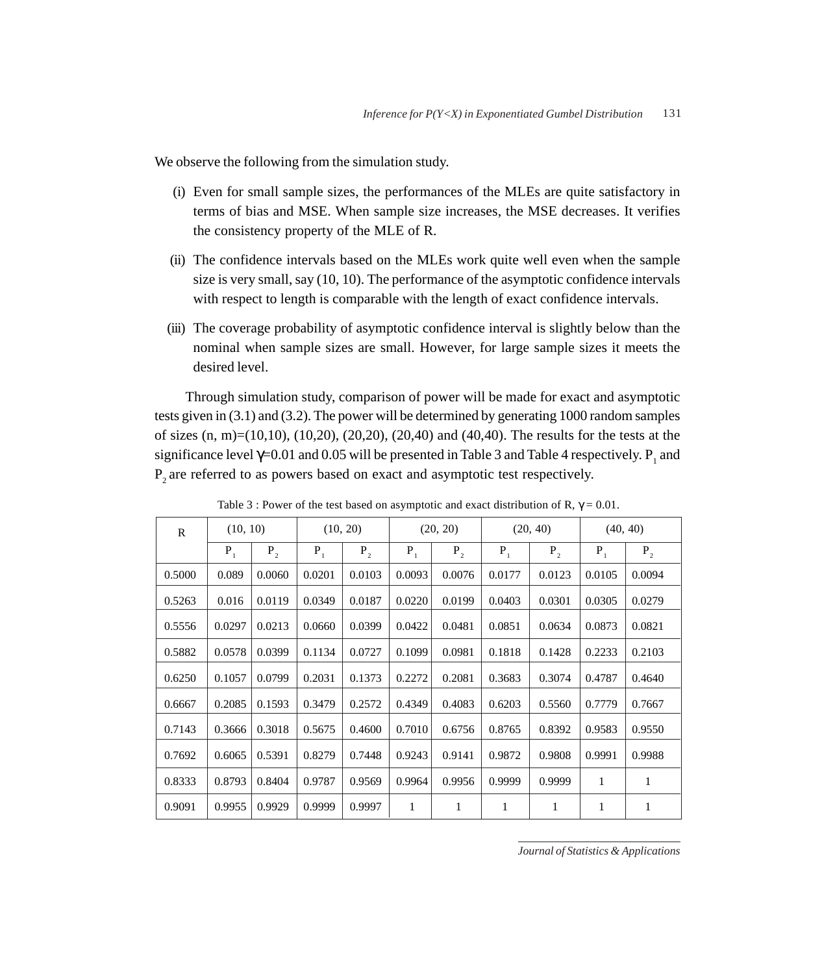We observe the following from the simulation study.

- (i) Even for small sample sizes, the performances of the MLEs are quite satisfactory in terms of bias and MSE. When sample size increases, the MSE decreases. It verifies the consistency property of the MLE of R.
- (ii) The confidence intervals based on the MLEs work quite well even when the sample size is very small, say (10, 10). The performance of the asymptotic confidence intervals with respect to length is comparable with the length of exact confidence intervals.
- (iii) The coverage probability of asymptotic confidence interval is slightly below than the nominal when sample sizes are small. However, for large sample sizes it meets the desired level.

Through simulation study, comparison of power will be made for exact and asymptotic tests given in  $(3.1)$  and  $(3.2)$ . The power will be determined by generating 1000 random samples of sizes  $(n, m)=(10, 10)$ ,  $(10, 20)$ ,  $(20, 20)$ ,  $(20, 40)$  and  $(40, 40)$ . The results for the tests at the significance level  $\gamma$ =0.01 and 0.05 will be presented in Table 3 and Table 4 respectively.  $P_1$  and  $P<sub>2</sub>$  are referred to as powers based on exact and asymptotic test respectively.

| $\mathbb{R}$ | (10, 10) |        | (10, 20) |        | (20, 20)     |              | (20, 40) |              | (40, 40)     |              |
|--------------|----------|--------|----------|--------|--------------|--------------|----------|--------------|--------------|--------------|
|              | $P_1$    | $P_2$  | $P_1$    | $P_2$  | $P_1$        | $P_2$        | $P_1$    | $P_2$        | $P_1$        | $P_2$        |
| 0.5000       | 0.089    | 0.0060 | 0.0201   | 0.0103 | 0.0093       | 0.0076       | 0.0177   | 0.0123       | 0.0105       | 0.0094       |
| 0.5263       | 0.016    | 0.0119 | 0.0349   | 0.0187 | 0.0220       | 0.0199       | 0.0403   | 0.0301       | 0.0305       | 0.0279       |
| 0.5556       | 0.0297   | 0.0213 | 0.0660   | 0.0399 | 0.0422       | 0.0481       | 0.0851   | 0.0634       | 0.0873       | 0.0821       |
| 0.5882       | 0.0578   | 0.0399 | 0.1134   | 0.0727 | 0.1099       | 0.0981       | 0.1818   | 0.1428       | 0.2233       | 0.2103       |
| 0.6250       | 0.1057   | 0.0799 | 0.2031   | 0.1373 | 0.2272       | 0.2081       | 0.3683   | 0.3074       | 0.4787       | 0.4640       |
| 0.6667       | 0.2085   | 0.1593 | 0.3479   | 0.2572 | 0.4349       | 0.4083       | 0.6203   | 0.5560       | 0.7779       | 0.7667       |
| 0.7143       | 0.3666   | 0.3018 | 0.5675   | 0.4600 | 0.7010       | 0.6756       | 0.8765   | 0.8392       | 0.9583       | 0.9550       |
| 0.7692       | 0.6065   | 0.5391 | 0.8279   | 0.7448 | 0.9243       | 0.9141       | 0.9872   | 0.9808       | 0.9991       | 0.9988       |
| 0.8333       | 0.8793   | 0.8404 | 0.9787   | 0.9569 | 0.9964       | 0.9956       | 0.9999   | 0.9999       | $\mathbf{1}$ | $\mathbf{1}$ |
| 0.9091       | 0.9955   | 0.9929 | 0.9999   | 0.9997 | $\mathbf{1}$ | $\mathbf{1}$ | 1        | $\mathbf{1}$ | 1            | 1            |

Table 3 : Power of the test based on asymptotic and exact distribution of R,  $\gamma = 0.01$ .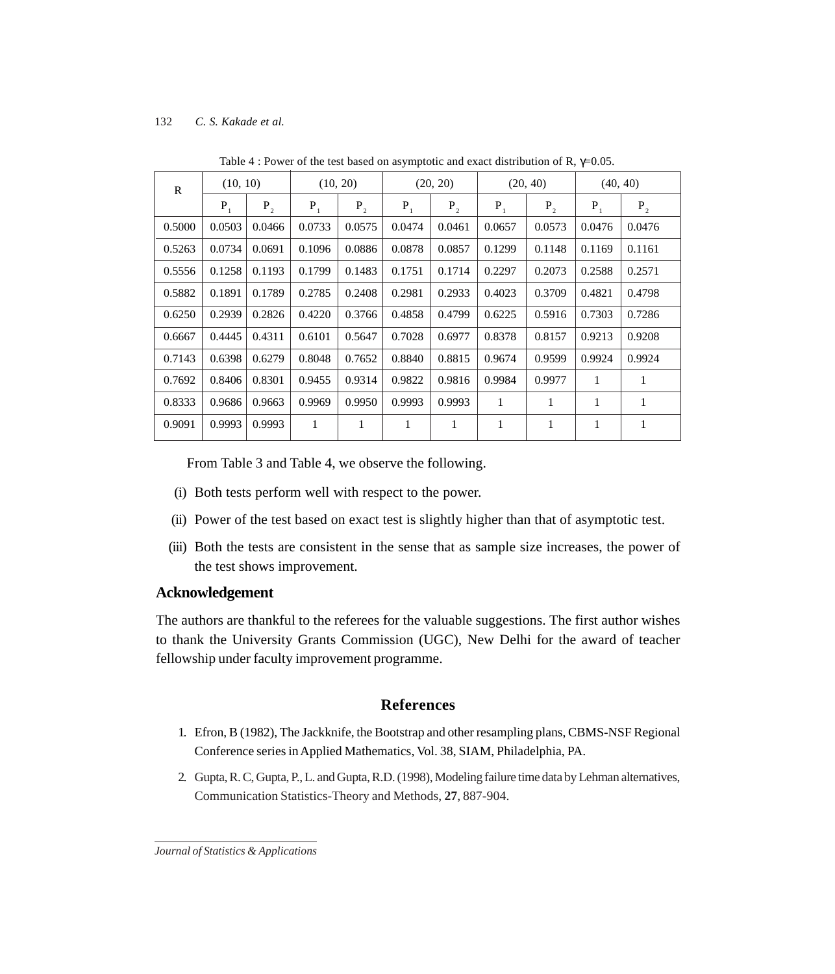| R      | (10, 10) |         | (10, 20) |         | (20, 20) |         | (20, 40) |         | (40, 40) |         |
|--------|----------|---------|----------|---------|----------|---------|----------|---------|----------|---------|
|        | $P_1$    | $P_{2}$ | $P_1$    | $P_{2}$ | $P_1$    | $P_{2}$ | $P_1$    | $P_{2}$ | $P_1$    | $P_{2}$ |
| 0.5000 | 0.0503   | 0.0466  | 0.0733   | 0.0575  | 0.0474   | 0.0461  | 0.0657   | 0.0573  | 0.0476   | 0.0476  |
| 0.5263 | 0.0734   | 0.0691  | 0.1096   | 0.0886  | 0.0878   | 0.0857  | 0.1299   | 0.1148  | 0.1169   | 0.1161  |
| 0.5556 | 0.1258   | 0.1193  | 0.1799   | 0.1483  | 0.1751   | 0.1714  | 0.2297   | 0.2073  | 0.2588   | 0.2571  |
| 0.5882 | 0.1891   | 0.1789  | 0.2785   | 0.2408  | 0.2981   | 0.2933  | 0.4023   | 0.3709  | 0.4821   | 0.4798  |
| 0.6250 | 0.2939   | 0.2826  | 0.4220   | 0.3766  | 0.4858   | 0.4799  | 0.6225   | 0.5916  | 0.7303   | 0.7286  |
| 0.6667 | 0.4445   | 0.4311  | 0.6101   | 0.5647  | 0.7028   | 0.6977  | 0.8378   | 0.8157  | 0.9213   | 0.9208  |
| 0.7143 | 0.6398   | 0.6279  | 0.8048   | 0.7652  | 0.8840   | 0.8815  | 0.9674   | 0.9599  | 0.9924   | 0.9924  |
| 0.7692 | 0.8406   | 0.8301  | 0.9455   | 0.9314  | 0.9822   | 0.9816  | 0.9984   | 0.9977  | 1        | 1       |
| 0.8333 | 0.9686   | 0.9663  | 0.9969   | 0.9950  | 0.9993   | 0.9993  | 1        | 1       | 1        | 1       |
| 0.9091 | 0.9993   | 0.9993  | 1        | 1       | 1        | 1       | 1        | 1       | 1        | 1       |

Table 4 : Power of the test based on asymptotic and exact distribution of R,  $\gamma$ =0.05.

From Table 3 and Table 4, we observe the following.

- (i) Both tests perform well with respect to the power.
- (ii) Power of the test based on exact test is slightly higher than that of asymptotic test.
- (iii) Both the tests are consistent in the sense that as sample size increases, the power of the test shows improvement.

## **Acknowledgement**

The authors are thankful to the referees for the valuable suggestions. The first author wishes to thank the University Grants Commission (UGC), New Delhi for the award of teacher fellowship under faculty improvement programme.

## **References**

- 1. Efron, B (1982), The Jackknife, the Bootstrap and other resampling plans, CBMS-NSF Regional Conference series in Applied Mathematics, Vol. 38, SIAM, Philadelphia, PA.
- 2. Gupta, R. C, Gupta, P., L. and Gupta, R.D. (1998), Modeling failure time data by Lehman alternatives, Communication Statistics-Theory and Methods, **27**, 887-904.

*Journal of Statistics & Applications*